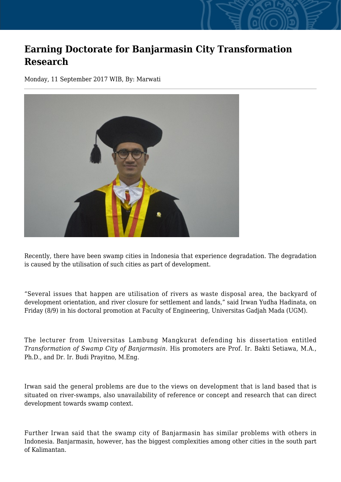## **Earning Doctorate for Banjarmasin City Transformation Research**

Monday, 11 September 2017 WIB, By: Marwati



Recently, there have been swamp cities in Indonesia that experience degradation. The degradation is caused by the utilisation of such cities as part of development.

"Several issues that happen are utilisation of rivers as waste disposal area, the backyard of development orientation, and river closure for settlement and lands," said Irwan Yudha Hadinata, on Friday (8/9) in his doctoral promotion at Faculty of Engineering, Universitas Gadjah Mada (UGM).

The lecturer from Universitas Lambung Mangkurat defending his dissertation entitled *Transformation of Swamp City of Banjarmasin.* His promoters are Prof. Ir. Bakti Setiawa, M.A., Ph.D., and Dr. Ir. Budi Prayitno, M.Eng.

Irwan said the general problems are due to the views on development that is land based that is situated on river-swamps, also unavailability of reference or concept and research that can direct development towards swamp context.

Further Irwan said that the swamp city of Banjarmasin has similar problems with others in Indonesia. Banjarmasin, however, has the biggest complexities among other cities in the south part of Kalimantan.